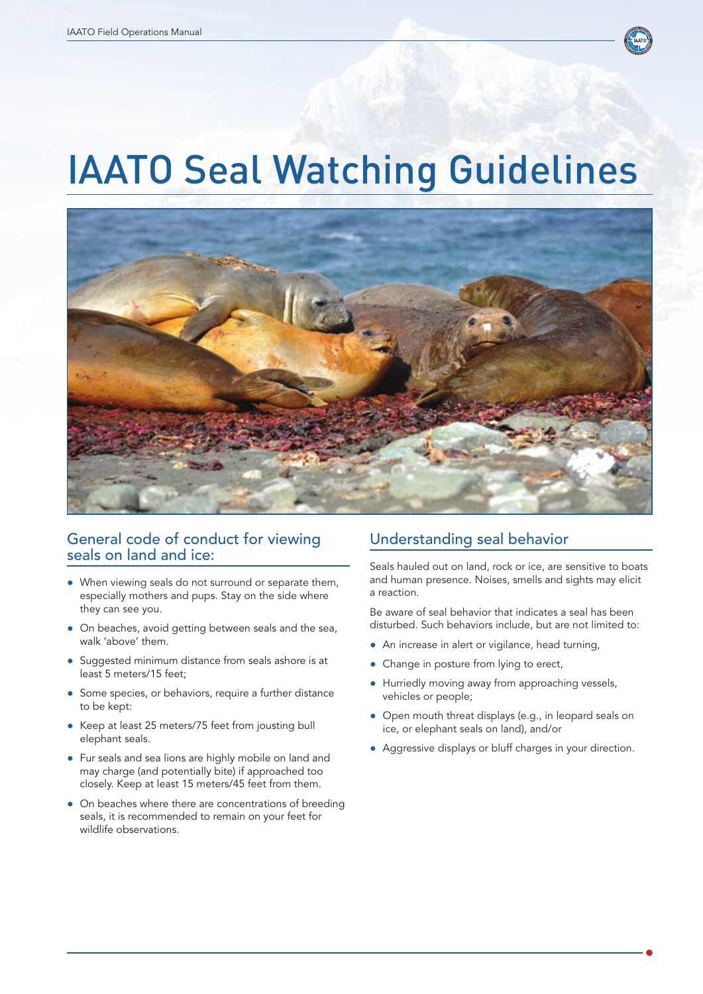

## IAATO Seal Watching Guidelines



## General code of conduct for viewing seals on land and ice:

- When viewing seals do not surround or separate them, especially mothers and pups. Stay on the side where they can see you.
- On beaches, avoid getting between seals and the sea, walk 'above' them.
- Suggested minimum distance from seals ashore is at least 5 meters/15 feet;
- Some species, or behaviors, require a further distance to be kept:
- Keep at least 25 meters/75 feet from jousting bull elephant seals.
- Fur seals and sea lions are highly mobile on land and may charge (and potentially bite) if approached too closely. Keep at least 15 meters/45 feet from them.
- On beaches where there are concentrations of breeding seals, it is recommended to remain on your feet for wildlife observations.

## Understanding seal behavior

Seals hauled out on land, rock or ice, are sensitive to boats and human presence. Noises, smells and sights may elicit a reaction.

Be aware of seal behavior that indicates a seal has been disturbed. Such behaviors include, but are not limited to:

- An increase in alert or vigilance, head turning,
- Change in posture from lying to erect,
- Hurriedly moving away from approaching vessels, vehicles or people;
- Open mouth threat displays (e.g., in leopard seals on ice, or elephant seals on land), and/or
- ● Aggressive displays or bluff charges in your direction.